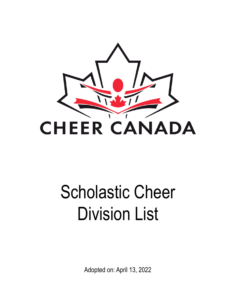

# Scholastic Cheer Division List

Adopted on: April 13, 2022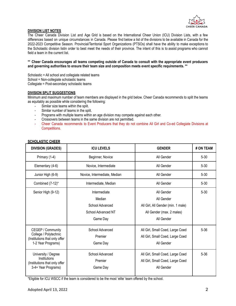

## **DIVISION LIST NOTES**

The Cheer Canada Division List and Age Grid is based on the International Cheer Union (ICU) Division Lists, with a few differences based on unique circumstances in Canada. Please find below a list of the divisions to be available in Canada for the 2022-2023 Competitive Season. Provincial/Territorial Sport Organizations (PTSOs) shall have the ability to make exceptions to the Scholastic division listin order to best meet the needs of their province. The intent of this is to assist programs who cannot field a team in the current list.

#### \*\* Cheer Canada encourages all teams competing outside of Canada to consult with the appropriate event producers **and governing authorities to ensure their team size and composition meets event specific requirements. \*\***

Scholastic = All school and collegiate related teams School = Non-collegiate scholastic teams Collegiate = Post-secondary scholastic teams

## **DIVISION SPLIT SUGGESTIONS**

Minimum and maximum number of team members are displayed in the grid below. Cheer Canada recommends to split the teams as equitably as possible while considering the following:

- Similar size teams within the split.
- Similar number of teams in the split.
- Programs with multiple teams within an age division may compete against each other.
- Crossovers between teams in the same division are not permitted.
- Cheer Canada recommends to Event Producers that they do not combine All Girl and Co-ed Collegiate Divisions at Competitions.

| <b>DIVISION (GRADES)</b>                                                                          | <b>ICU LEVELS</b>                                                           | <b>GENDER</b>                                                                                             | # ON TEAM |
|---------------------------------------------------------------------------------------------------|-----------------------------------------------------------------------------|-----------------------------------------------------------------------------------------------------------|-----------|
| Primary (1-4)                                                                                     | Beginner, Novice                                                            | All Gender                                                                                                | $5 - 30$  |
| Elementary (4-6)                                                                                  | Novice, Intermediate                                                        | All Gender                                                                                                | $5 - 30$  |
| Junior High (6-9)                                                                                 | Novice, Intermediate, Median                                                | All Gender                                                                                                | $5 - 30$  |
| Combined (7-12)*                                                                                  | Intermediate, Median                                                        | All Gender                                                                                                | $5 - 30$  |
| Senior High (9-12)                                                                                | Intermediate<br>Median<br>School Advanced<br>School Advanced NT<br>Game Day | All Gender<br>All Gender<br>All Girl, All Gender (min. 1 male)<br>All Gender (max. 2 males)<br>All Gender | $5 - 30$  |
| CEGEP / Community<br>College / Polytechnic<br>(Institutions that only offer<br>1-2 Year Programs) | School Advanced<br>Premier<br>Game Day                                      | All Girl, Small Coed, Large Coed<br>All Girl, Small Coed, Large Coed<br>All Gender                        | $5 - 36$  |
| University / Degree<br>Institutions<br>(Institutions that only offer<br>3-4+ Year Programs)       | School Advanced<br>Premier<br>Game Day                                      | All Girl, Small Coed, Large Coed<br>All Girl, Small Coed, Large Coed<br>All Gender                        | 5-36      |

## **SCHOLASTIC CHEER**

\*Eligible for ICU WSCC if the team is considered to be the most 'elite' team offered by the school.